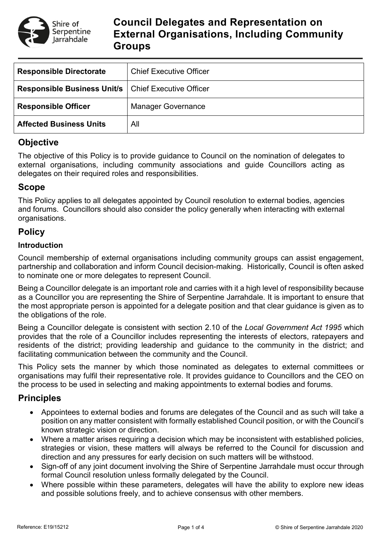

# **Council Delegates and Representation on External Organisations, Including Community Groups**

| <b>Responsible Directorate</b>                               | <b>Chief Executive Officer</b> |
|--------------------------------------------------------------|--------------------------------|
| <b>Responsible Business Unit/s   Chief Executive Officer</b> |                                |
| <b>Responsible Officer</b>                                   | <b>Manager Governance</b>      |
| <b>Affected Business Units</b>                               | All                            |

## **Objective**

The objective of this Policy is to provide guidance to Council on the nomination of delegates to external organisations, including community associations and guide Councillors acting as delegates on their required roles and responsibilities.

## **Scope**

This Policy applies to all delegates appointed by Council resolution to external bodies, agencies and forums. Councillors should also consider the policy generally when interacting with external organisations.

## **Policy**

### **Introduction**

Council membership of external organisations including community groups can assist engagement, partnership and collaboration and inform Council decision-making. Historically, Council is often asked to nominate one or more delegates to represent Council.

Being a Councillor delegate is an important role and carries with it a high level of responsibility because as a Councillor you are representing the Shire of Serpentine Jarrahdale. It is important to ensure that the most appropriate person is appointed for a delegate position and that clear guidance is given as to the obligations of the role.

Being a Councillor delegate is consistent with section 2.10 of the *Local Government Act 1995* which provides that the role of a Councillor includes representing the interests of electors, ratepayers and residents of the district; providing leadership and guidance to the community in the district; and facilitating communication between the community and the Council.

This Policy sets the manner by which those nominated as delegates to external committees or organisations may fulfil their representative role. It provides guidance to Councillors and the CEO on the process to be used in selecting and making appointments to external bodies and forums.

## **Principles**

- Appointees to external bodies and forums are delegates of the Council and as such will take a position on any matter consistent with formally established Council position, or with the Council's known strategic vision or direction.
- Where a matter arises requiring a decision which may be inconsistent with established policies, strategies or vision, these matters will always be referred to the Council for discussion and direction and any pressures for early decision on such matters will be withstood.
- Sign-off of any joint document involving the Shire of Serpentine Jarrahdale must occur through formal Council resolution unless formally delegated by the Council.
- Where possible within these parameters, delegates will have the ability to explore new ideas and possible solutions freely, and to achieve consensus with other members.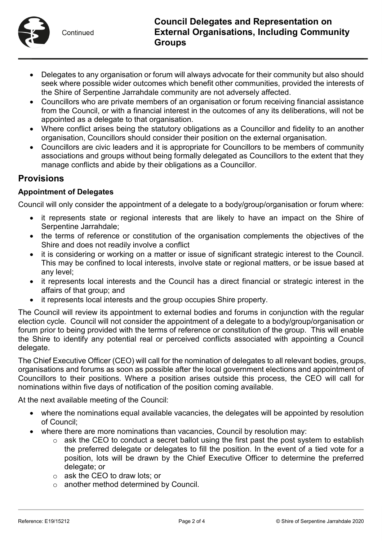

- Delegates to any organisation or forum will always advocate for their community but also should seek where possible wider outcomes which benefit other communities, provided the interests of the Shire of Serpentine Jarrahdale community are not adversely affected.
- Councillors who are private members of an organisation or forum receiving financial assistance from the Council, or with a financial interest in the outcomes of any its deliberations, will not be appointed as a delegate to that organisation.
- Where conflict arises being the statutory obligations as a Councillor and fidelity to an another organisation, Councillors should consider their position on the external organisation.
- Councillors are civic leaders and it is appropriate for Councillors to be members of community associations and groups without being formally delegated as Councillors to the extent that they manage conflicts and abide by their obligations as a Councillor.

### **Provisions**

### **Appointment of Delegates**

Council will only consider the appointment of a delegate to a body/group/organisation or forum where:

- it represents state or regional interests that are likely to have an impact on the Shire of Serpentine Jarrahdale;
- the terms of reference or constitution of the organisation complements the objectives of the Shire and does not readily involve a conflict
- it is considering or working on a matter or issue of significant strategic interest to the Council. This may be confined to local interests, involve state or regional matters, or be issue based at any level;
- it represents local interests and the Council has a direct financial or strategic interest in the affairs of that group; and
- it represents local interests and the group occupies Shire property.

The Council will review its appointment to external bodies and forums in conjunction with the regular election cycle. Council will not consider the appointment of a delegate to a body/group/organisation or forum prior to being provided with the terms of reference or constitution of the group. This will enable the Shire to identify any potential real or perceived conflicts associated with appointing a Council delegate.

The Chief Executive Officer (CEO) will call for the nomination of delegates to all relevant bodies, groups, organisations and forums as soon as possible after the local government elections and appointment of Councillors to their positions. Where a position arises outside this process, the CEO will call for nominations within five days of notification of the position coming available.

At the next available meeting of the Council:

- where the nominations equal available vacancies, the delegates will be appointed by resolution of Council;
- where there are more nominations than vacancies, Council by resolution may:
	- $\circ$  ask the CEO to conduct a secret ballot using the first past the post system to establish the preferred delegate or delegates to fill the position. In the event of a tied vote for a position, lots will be drawn by the Chief Executive Officer to determine the preferred delegate; or
	- o ask the CEO to draw lots; or
	- o another method determined by Council.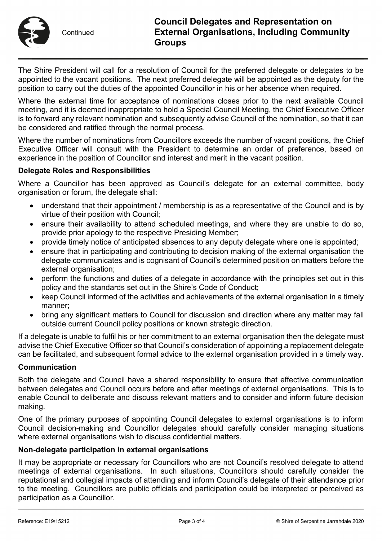

Continued

The Shire President will call for a resolution of Council for the preferred delegate or delegates to be appointed to the vacant positions. The next preferred delegate will be appointed as the deputy for the position to carry out the duties of the appointed Councillor in his or her absence when required.

Where the external time for acceptance of nominations closes prior to the next available Council meeting, and it is deemed inappropriate to hold a Special Council Meeting, the Chief Executive Officer is to forward any relevant nomination and subsequently advise Council of the nomination, so that it can be considered and ratified through the normal process.

Where the number of nominations from Councillors exceeds the number of vacant positions, the Chief Executive Officer will consult with the President to determine an order of preference, based on experience in the position of Councillor and interest and merit in the vacant position.

### **Delegate Roles and Responsibilities**

Where a Councillor has been approved as Council's delegate for an external committee, body organisation or forum, the delegate shall:

- understand that their appointment / membership is as a representative of the Council and is by virtue of their position with Council;
- ensure their availability to attend scheduled meetings, and where they are unable to do so, provide prior apology to the respective Presiding Member;
- provide timely notice of anticipated absences to any deputy delegate where one is appointed;
- ensure that in participating and contributing to decision making of the external organisation the delegate communicates and is cognisant of Council's determined position on matters before the external organisation;
- perform the functions and duties of a delegate in accordance with the principles set out in this policy and the standards set out in the Shire's Code of Conduct;
- keep Council informed of the activities and achievements of the external organisation in a timely manner;
- bring any significant matters to Council for discussion and direction where any matter may fall outside current Council policy positions or known strategic direction.

If a delegate is unable to fulfil his or her commitment to an external organisation then the delegate must advise the Chief Executive Officer so that Council's consideration of appointing a replacement delegate can be facilitated, and subsequent formal advice to the external organisation provided in a timely way.

#### **Communication**

Both the delegate and Council have a shared responsibility to ensure that effective communication between delegates and Council occurs before and after meetings of external organisations. This is to enable Council to deliberate and discuss relevant matters and to consider and inform future decision making.

One of the primary purposes of appointing Council delegates to external organisations is to inform Council decision-making and Councillor delegates should carefully consider managing situations where external organisations wish to discuss confidential matters.

#### **Non-delegate participation in external organisations**

It may be appropriate or necessary for Councillors who are not Council's resolved delegate to attend meetings of external organisations. In such situations, Councillors should carefully consider the reputational and collegial impacts of attending and inform Council's delegate of their attendance prior to the meeting. Councillors are public officials and participation could be interpreted or perceived as participation as a Councillor.